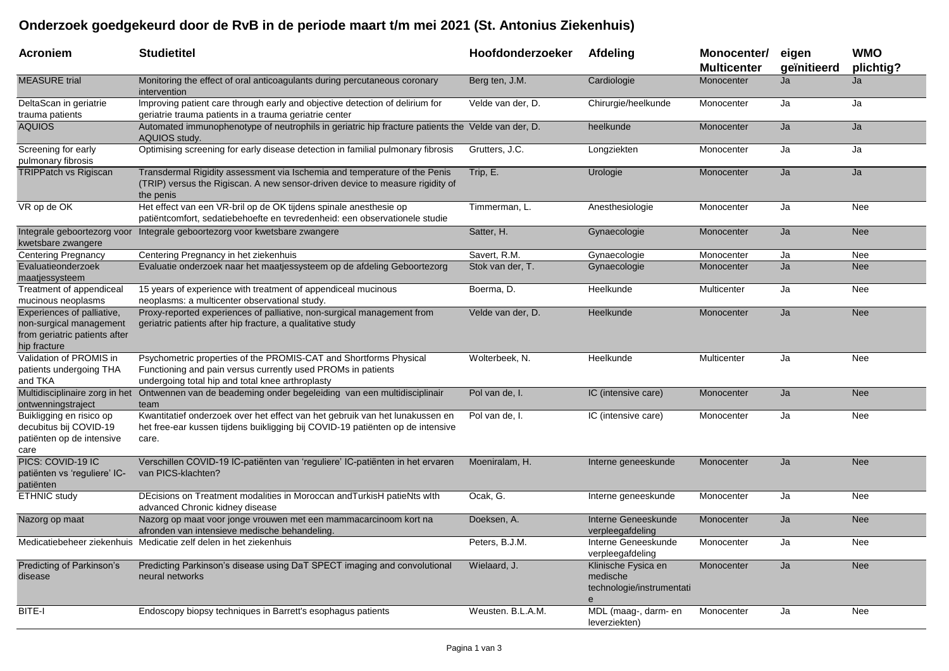## **Onderzoek goedgekeurd door de RvB in de periode maart t/m mei 2021 (St. Antonius Ziekenhuis)**

| Acroniem                                                                                               | <b>Studietitel</b>                                                                                                                                                                    | Hoofdonderzoeker  | <b>Afdeling</b>                                                   | Monocenter/<br><b>Multicenter</b> | eigen<br>geïnitieerd | <b>WMO</b><br>plichtig? |
|--------------------------------------------------------------------------------------------------------|---------------------------------------------------------------------------------------------------------------------------------------------------------------------------------------|-------------------|-------------------------------------------------------------------|-----------------------------------|----------------------|-------------------------|
| <b>MEASURE</b> trial                                                                                   | Monitoring the effect of oral anticoagulants during percutaneous coronary<br>intervention                                                                                             | Berg ten, J.M.    | Cardiologie                                                       | Monocenter                        | Ja                   | Ja                      |
| DeltaScan in geriatrie<br>trauma patients                                                              | Improving patient care through early and objective detection of delirium for<br>geriatrie trauma patients in a trauma geriatrie center                                                | Velde van der, D. | Chirurgie/heelkunde                                               | Monocenter                        | Ja                   | Ja                      |
| <b>AQUIOS</b>                                                                                          | Automated immunophenotype of neutrophils in geriatric hip fracture patients the Velde van der, D.<br>AQUIOS study.                                                                    |                   | heelkunde                                                         | Monocenter                        | Ja                   | Ja                      |
| Screening for early<br>pulmonary fibrosis                                                              | Optimising screening for early disease detection in familial pulmonary fibrosis                                                                                                       | Grutters, J.C.    | Longziekten                                                       | Monocenter                        | Ja                   | Ja                      |
| <b>TRIPPatch vs Rigiscan</b>                                                                           | Transdermal Rigidity assessment via Ischemia and temperature of the Penis<br>(TRIP) versus the Rigiscan. A new sensor-driven device to measure rigidity of<br>the penis               | Trip, E.          | Urologie                                                          | Monocenter                        | Ja                   | Ja                      |
| VR op de OK                                                                                            | Het effect van een VR-bril op de OK tijdens spinale anesthesie op<br>patiëntcomfort, sedatiebehoefte en tevredenheid: een observationele studie                                       | Timmerman, L.     | Anesthesiologie                                                   | Monocenter                        | Ja                   | Nee                     |
| kwetsbare zwangere                                                                                     | Integrale geboortezorg voor Integrale geboortezorg voor kwetsbare zwangere                                                                                                            | Satter, H.        | Gynaecologie                                                      | Monocenter                        | Ja                   | <b>Nee</b>              |
| <b>Centering Pregnancy</b>                                                                             | Centering Pregnancy in het ziekenhuis                                                                                                                                                 | Savert, R.M.      | Gynaecologie                                                      | Monocenter                        | Ja                   | Nee                     |
| Evaluatieonderzoek<br>maatjessysteem                                                                   | Evaluatie onderzoek naar het maatjessysteem op de afdeling Geboortezorg                                                                                                               | Stok van der, T.  | Gynaecologie                                                      | Monocenter                        | Ja                   | <b>Nee</b>              |
| Treatment of appendiceal<br>mucinous neoplasms                                                         | 15 years of experience with treatment of appendiceal mucinous<br>neoplasms: a multicenter observational study.                                                                        | Boerma, D.        | Heelkunde                                                         | Multicenter                       | Ja                   | Nee                     |
| Experiences of palliative,<br>non-surgical management<br>from geriatric patients after<br>hip fracture | Proxy-reported experiences of palliative, non-surgical management from<br>geriatric patients after hip fracture, a qualitative study                                                  | Velde van der, D. | Heelkunde                                                         | Monocenter                        | Ja                   | <b>Nee</b>              |
| Validation of PROMIS in<br>patients undergoing THA<br>and TKA                                          | Psychometric properties of the PROMIS-CAT and Shortforms Physical<br>Functioning and pain versus currently used PROMs in patients<br>undergoing total hip and total knee arthroplasty | Wolterbeek, N.    | Heelkunde                                                         | Multicenter                       | Ja                   | Nee                     |
| Multidisciplinaire zorg in het<br>ontwenningstraject                                                   | Ontwennen van de beademing onder begeleiding van een multidisciplinair<br>team                                                                                                        | Pol van de, I.    | IC (intensive care)                                               | Monocenter                        | Ja                   | <b>Nee</b>              |
| Buikligging en risico op<br>decubitus bij COVID-19<br>patiënten op de intensive<br>care                | Kwantitatief onderzoek over het effect van het gebruik van het lunakussen en<br>het free-ear kussen tijdens buikligging bij COVID-19 patiënten op de intensive<br>care.               | Pol van de, I.    | IC (intensive care)                                               | Monocenter                        | Ja                   | Nee                     |
| PICS: COVID-19 IC<br>patiënten vs 'reguliere' IC-<br>patiënten                                         | Verschillen COVID-19 IC-patiënten van 'reguliere' IC-patiënten in het ervaren<br>van PICS-klachten?                                                                                   | Moeniralam, H.    | Interne geneeskunde                                               | Monocenter                        | Ja                   | <b>Nee</b>              |
| ETHNIC study                                                                                           | DEcisions on Treatment modalities in Moroccan and TurkisH patieNts with<br>advanced Chronic kidney disease                                                                            | Ocak, G.          | Interne geneeskunde                                               | Monocenter                        | Ja                   | Nee                     |
| Nazorg op maat                                                                                         | Nazorg op maat voor jonge vrouwen met een mammacarcinoom kort na<br>afronden van intensieve medische behandeling.                                                                     | Doeksen, A.       | Interne Geneeskunde<br>verpleegafdeling                           | Monocenter                        | Ja                   | <b>Nee</b>              |
|                                                                                                        | Medicatiebeheer ziekenhuis Medicatie zelf delen in het ziekenhuis                                                                                                                     | Peters, B.J.M.    | Interne Geneeskunde<br>verpleegafdeling                           | Monocenter                        | Ja                   | Nee                     |
| Predicting of Parkinson's<br>disease                                                                   | Predicting Parkinson's disease using DaT SPECT imaging and convolutional<br>neural networks                                                                                           | Wielaard, J.      | Klinische Fysica en<br>medische<br>technologie/instrumentati<br>e | Monocenter                        | Ja                   | <b>Nee</b>              |
| BITE-I                                                                                                 | Endoscopy biopsy techniques in Barrett's esophagus patients                                                                                                                           | Weusten, B.L.A.M. | MDL (maag-, darm- en<br>leverziekten)                             | Monocenter                        | Ja                   | Nee                     |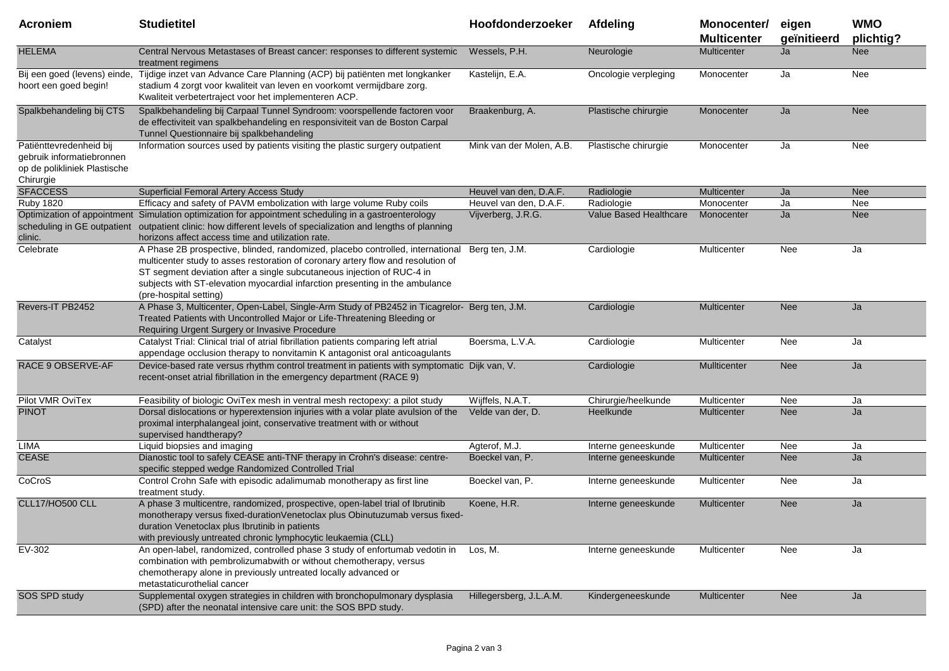| <b>Acroniem</b>                                                                                   | <b>Studietitel</b>                                                                                                                                                                                                                                                                                                                                     | Hoofdonderzoeker         | Afdeling               | Monocenter/<br><b>Multicenter</b> | eigen<br>geïnitieerd | <b>WMO</b><br>plichtig? |
|---------------------------------------------------------------------------------------------------|--------------------------------------------------------------------------------------------------------------------------------------------------------------------------------------------------------------------------------------------------------------------------------------------------------------------------------------------------------|--------------------------|------------------------|-----------------------------------|----------------------|-------------------------|
| <b>HELEMA</b>                                                                                     | Central Nervous Metastases of Breast cancer: responses to different systemic<br>treatment regimens                                                                                                                                                                                                                                                     | Wessels, P.H.            | Neurologie             | <b>Multicenter</b>                | Ja                   | <b>Nee</b>              |
| Bij een goed (levens) einde,<br>hoort een goed begin!                                             | Tijdige inzet van Advance Care Planning (ACP) bij patiënten met longkanker<br>stadium 4 zorgt voor kwaliteit van leven en voorkomt vermijdbare zorg.<br>Kwaliteit verbetertraject voor het implementeren ACP.                                                                                                                                          | Kastelijn, E.A.          | Oncologie verpleging   | Monocenter                        | Ja                   | Nee                     |
| Spalkbehandeling bij CTS                                                                          | Spalkbehandeling bij Carpaal Tunnel Syndroom: voorspellende factoren voor<br>de effectiviteit van spalkbehandeling en responsiviteit van de Boston Carpal<br>Tunnel Questionnaire bij spalkbehandeling                                                                                                                                                 | Braakenburg, A.          | Plastische chirurgie   | Monocenter                        | Ja                   | <b>Nee</b>              |
| Patiënttevredenheid bij<br>gebruik informatiebronnen<br>op de polikliniek Plastische<br>Chirurgie | Information sources used by patients visiting the plastic surgery outpatient                                                                                                                                                                                                                                                                           | Mink van der Molen, A.B. | Plastische chirurgie   | Monocenter                        | Ja                   | Nee                     |
| <b>SFACCESS</b>                                                                                   | Superficial Femoral Artery Access Study                                                                                                                                                                                                                                                                                                                | Heuvel van den, D.A.F.   | Radiologie             | Multicenter                       | Ja                   | <b>Nee</b>              |
| <b>Ruby 1820</b>                                                                                  | Efficacy and safety of PAVM embolization with large volume Ruby coils                                                                                                                                                                                                                                                                                  | Heuvel van den, D.A.F.   | Radiologie             | Monocenter                        | Ja                   | Nee                     |
| clinic.                                                                                           | Optimization of appointment Simulation optimization for appointment scheduling in a gastroenterology<br>scheduling in GE outpatient outpatient clinic: how different levels of specialization and lengths of planning<br>horizons affect access time and utilization rate.                                                                             | Vijverberg, J.R.G.       | Value Based Healthcare | Monocenter                        | Ja                   | <b>Nee</b>              |
| Celebrate                                                                                         | A Phase 2B prospective, blinded, randomized, placebo controlled, international<br>multicenter study to asses restoration of coronary artery flow and resolution of<br>ST segment deviation after a single subcutaneous injection of RUC-4 in<br>subjects with ST-elevation myocardial infarction presenting in the ambulance<br>(pre-hospital setting) | Berg ten, J.M.           | Cardiologie            | Multicenter                       | Nee                  | Ja                      |
| Revers-IT PB2452                                                                                  | A Phase 3, Multicenter, Open-Label, Single-Arm Study of PB2452 in Ticagrelor- Berg ten, J.M.<br>Treated Patients with Uncontrolled Major or Life-Threatening Bleeding or<br>Requiring Urgent Surgery or Invasive Procedure                                                                                                                             |                          | Cardiologie            | <b>Multicenter</b>                | <b>Nee</b>           | Ja                      |
| Catalyst                                                                                          | Catalyst Trial: Clinical trial of atrial fibrillation patients comparing left atrial<br>appendage occlusion therapy to nonvitamin K antagonist oral anticoagulants                                                                                                                                                                                     | Boersma, L.V.A.          | Cardiologie            | Multicenter                       | Nee                  | Ja                      |
| RACE 9 OBSERVE-AF                                                                                 | Device-based rate versus rhythm control treatment in patients with symptomatic Dijk van, V.<br>recent-onset atrial fibrillation in the emergency department (RACE 9)                                                                                                                                                                                   |                          | Cardiologie            | Mullticenter                      | <b>Nee</b>           | Ja                      |
| Pilot VMR OviTex                                                                                  | Feasibility of biologic OviTex mesh in ventral mesh rectopexy: a pilot study                                                                                                                                                                                                                                                                           | Wijffels, N.A.T.         | Chirurgie/heelkunde    | Multicenter                       | Nee                  | Ja                      |
| <b>PINOT</b>                                                                                      | Dorsal dislocations or hyperextension injuries with a volar plate avulsion of the<br>proximal interphalangeal joint, conservative treatment with or without<br>supervised handtherapy?                                                                                                                                                                 | Velde van der, D.        | Heelkunde              | <b>Multicenter</b>                | <b>Nee</b>           | Ja                      |
| LIMA                                                                                              | Liquid biopsies and imaging                                                                                                                                                                                                                                                                                                                            | Agterof, M.J.            | Interne geneeskunde    | Multicenter                       | Nee                  | Ja                      |
| <b>CEASE</b>                                                                                      | Dianostic tool to safely CEASE anti-TNF therapy in Crohn's disease: centre-<br>specific stepped wedge Randomized Controlled Trial                                                                                                                                                                                                                      | Boeckel van, P.          | Interne geneeskunde    | Multicenter                       | <b>Nee</b>           | Ja                      |
| CoCroS                                                                                            | Control Crohn Safe with episodic adalimumab monotherapy as first line<br>treatment study.                                                                                                                                                                                                                                                              | Boeckel van, P.          | Interne geneeskunde    | Multicenter                       | Nee                  | Ja                      |
| <b>CLL17/HO500 CLL</b>                                                                            | A phase 3 multicentre, randomized, prospective, open-label trial of Ibrutinib<br>monotherapy versus fixed-durationVenetoclax plus Obinutuzumab versus fixed-<br>duration Venetoclax plus Ibrutinib in patients<br>with previously untreated chronic lymphocytic leukaemia (CLL)                                                                        | Koene, H.R.              | Interne geneeskunde    | Multicenter                       | <b>Nee</b>           | Ja                      |
| EV-302                                                                                            | An open-label, randomized, controlled phase 3 study of enfortumab vedotin in<br>combination with pembrolizumabwith or without chemotherapy, versus<br>chemotherapy alone in previously untreated locally advanced or<br>metastaticurothelial cancer                                                                                                    | Los, M.                  | Interne geneeskunde    | Multicenter                       | Nee                  | Ja                      |
| SOS SPD study                                                                                     | Supplemental oxygen strategies in children with bronchopulmonary dysplasia<br>(SPD) after the neonatal intensive care unit: the SOS BPD study.                                                                                                                                                                                                         | Hillegersberg, J.L.A.M.  | Kindergeneeskunde      | Multicenter                       | <b>Nee</b>           | Ja                      |